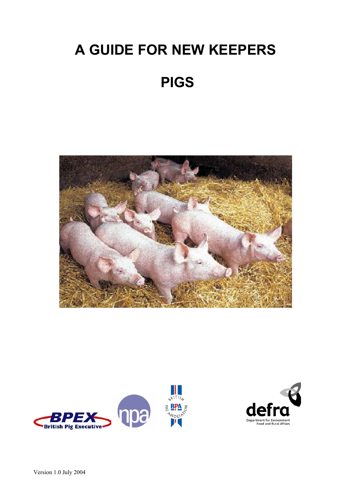# **A GUIDE FOR NEW KEEPERS**

## **PIGS**





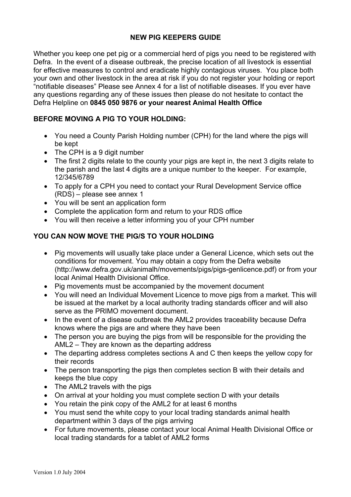## **NEW PIG KEEPERS GUIDE**

Whether you keep one pet pig or a commercial herd of pigs you need to be registered with Defra. In the event of a disease outbreak, the precise location of all livestock is essential for effective measures to control and eradicate highly contagious viruses. You place both your own and other livestock in the area at risk if you do not register your holding or report "notifiable diseases" Please see Annex 4 for a list of notifiable diseases. If you ever have any questions regarding any of these issues then please do not hesitate to contact the Defra Helpline on **0845 050 9876 or your nearest Animal Health Office**

## **BEFORE MOVING A PIG TO YOUR HOLDING:**

- You need a County Parish Holding number (CPH) for the land where the pigs will be kept
- The CPH is a 9 digit number
- The first 2 digits relate to the county your pigs are kept in, the next 3 digits relate to the parish and the last 4 digits are a unique number to the keeper. For example, 12/345/6789
- To apply for a CPH you need to contact your Rural Development Service office (RDS) – please see annex 1
- You will be sent an application form
- Complete the application form and return to your RDS office
- You will then receive a letter informing you of your CPH number

## **YOU CAN NOW MOVE THE PIG/S TO YOUR HOLDING**

- Pig movements will usually take place under a General Licence, which sets out the conditions for movement. You may obtain a copy from the Defra website (http://www.defra.gov.uk/animalh/movements/pigs/pigs-genlicence.pdf) or from your local Animal Health Divisional Office.
- Pig movements must be accompanied by the movement document
- You will need an Individual Movement Licence to move pigs from a market. This will be issued at the market by a local authority trading standards officer and will also serve as the PRIMO movement document.
- In the event of a disease outbreak the AML2 provides traceability because Defra knows where the pigs are and where they have been
- The person you are buying the pigs from will be responsible for the providing the AML2 – They are known as the departing address
- The departing address completes sections A and C then keeps the yellow copy for their records
- The person transporting the pigs then completes section B with their details and keeps the blue copy
- The AML2 travels with the pigs
- On arrival at your holding you must complete section D with your details
- You retain the pink copy of the AML2 for at least 6 months
- You must send the white copy to your local trading standards animal health department within 3 days of the pigs arriving
- For future movements, please contact your local Animal Health Divisional Office or local trading standards for a tablet of AML2 forms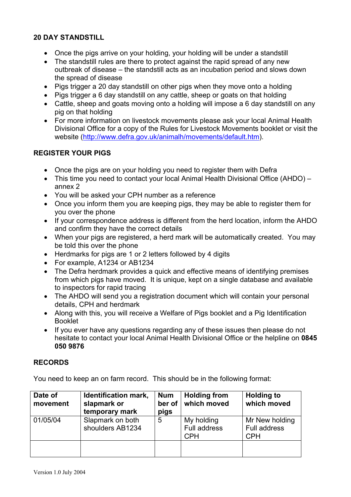## **20 DAY STANDSTILL**

- Once the pigs arrive on your holding, your holding will be under a standstill
- The standstill rules are there to protect against the rapid spread of any new outbreak of disease – the standstill acts as an incubation period and slows down the spread of disease
- Pigs trigger a 20 day standstill on other pigs when they move onto a holding
- Pigs trigger a 6 day standstill on any cattle, sheep or goats on that holding
- Cattle, sheep and goats moving onto a holding will impose a 6 day standstill on any pig on that holding
- For more information on livestock movements please ask your local Animal Health Divisional Office for a copy of the Rules for Livestock Movements booklet or visit the website ([http://www.defra.gov.uk/animalh/movements/default.htm\)](http://www.defra.gov.uk/animalh/movements/default.htm).

## **REGISTER YOUR PIGS**

- Once the pigs are on your holding you need to register them with Defra
- This time you need to contact your local Animal Health Divisional Office (AHDO) annex 2
- You will be asked your CPH number as a reference
- Once you inform them you are keeping pigs, they may be able to register them for you over the phone
- If your correspondence address is different from the herd location, inform the AHDO and confirm they have the correct details
- When your pigs are registered, a herd mark will be automatically created. You may be told this over the phone
- Herdmarks for pigs are 1 or 2 letters followed by 4 digits
- For example, A1234 or AB1234
- The Defra herdmark provides a quick and effective means of identifying premises from which pigs have moved. It is unique, kept on a single database and available to inspectors for rapid tracing
- The AHDO will send you a registration document which will contain your personal details, CPH and herdmark
- Along with this, you will receive a Welfare of Pigs booklet and a Pig Identification Booklet
- If you ever have any questions regarding any of these issues then please do not hesitate to contact your local Animal Health Divisional Office or the helpline on **0845 050 9876**

## **RECORDS**

You need to keep an on farm record. This should be in the following format:

| Date of<br>movement | Identification mark,<br>slapmark or<br>temporary mark | <b>Num</b><br>ber of<br>pigs | <b>Holding from</b><br>which moved              | <b>Holding to</b><br>which moved             |
|---------------------|-------------------------------------------------------|------------------------------|-------------------------------------------------|----------------------------------------------|
| 01/05/04            | Slapmark on both<br>shoulders AB1234                  | 5                            | My holding<br><b>Full address</b><br><b>CPH</b> | Mr New holding<br>Full address<br><b>CPH</b> |
|                     |                                                       |                              |                                                 |                                              |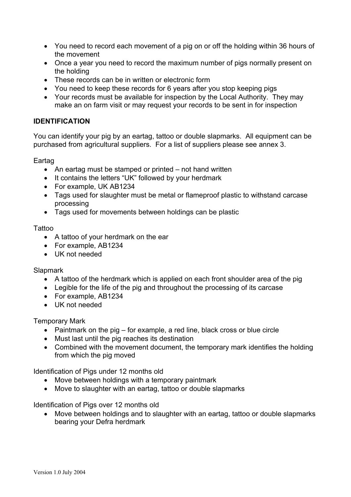- You need to record each movement of a pig on or off the holding within 36 hours of the movement
- Once a year you need to record the maximum number of pigs normally present on the holding
- These records can be in written or electronic form
- You need to keep these records for 6 years after you stop keeping pigs
- Your records must be available for inspection by the Local Authority. They may make an on farm visit or may request your records to be sent in for inspection

## **IDENTIFICATION**

You can identify your pig by an eartag, tattoo or double slapmarks. All equipment can be purchased from agricultural suppliers. For a list of suppliers please see annex 3.

Eartag

- An eartag must be stamped or printed not hand written
- It contains the letters "UK" followed by your herdmark
- For example, UK AB1234
- Tags used for slaughter must be metal or flameproof plastic to withstand carcase processing
- Tags used for movements between holdings can be plastic

## Tattoo

- A tattoo of your herdmark on the ear
- For example, AB1234
- UK not needed

## **Slapmark**

- A tattoo of the herdmark which is applied on each front shoulder area of the pig
- Legible for the life of the pig and throughout the processing of its carcase
- For example, AB1234
- UK not needed

## Temporary Mark

- Paintmark on the pig for example, a red line, black cross or blue circle
- Must last until the pig reaches its destination
- Combined with the movement document, the temporary mark identifies the holding from which the pig moved

Identification of Pigs under 12 months old

- Move between holdings with a temporary paintmark
- Move to slaughter with an eartag, tattoo or double slapmarks

Identification of Pigs over 12 months old

• Move between holdings and to slaughter with an eartag, tattoo or double slapmarks bearing your Defra herdmark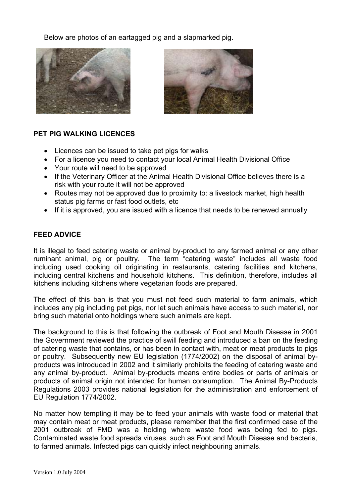Below are photos of an eartagged pig and a slapmarked pig.





## **PET PIG WALKING LICENCES**

- Licences can be issued to take pet pigs for walks
- For a licence you need to contact your local Animal Health Divisional Office
- Your route will need to be approved
- If the Veterinary Officer at the Animal Health Divisional Office believes there is a risk with your route it will not be approved
- Routes may not be approved due to proximity to: a livestock market, high health status pig farms or fast food outlets, etc
- If it is approved, you are issued with a licence that needs to be renewed annually

## **FEED ADVICE**

It is illegal to feed catering waste or animal by-product to any farmed animal or any other ruminant animal, pig or poultry. The term "catering waste" includes all waste food including used cooking oil originating in restaurants, catering facilities and kitchens, including central kitchens and household kitchens. This definition, therefore, includes all kitchens including kitchens where vegetarian foods are prepared.

The effect of this ban is that you must not feed such material to farm animals, which includes any pig including pet pigs, nor let such animals have access to such material, nor bring such material onto holdings where such animals are kept.

The background to this is that following the outbreak of Foot and Mouth Disease in 2001 the Government reviewed the practice of swill feeding and introduced a ban on the feeding of catering waste that contains, or has been in contact with, meat or meat products to pigs or poultry. Subsequently new EU legislation (1774/2002) on the disposal of animal byproducts was introduced in 2002 and it similarly prohibits the feeding of catering waste and any animal by-product. Animal by-products means entire bodies or parts of animals or products of animal origin not intended for human consumption. The Animal By-Products Regulations 2003 provides national legislation for the administration and enforcement of EU Regulation 1774/2002.

No matter how tempting it may be to feed your animals with waste food or material that may contain meat or meat products, please remember that the first confirmed case of the 2001 outbreak of FMD was a holding where waste food was being fed to pigs. Contaminated waste food spreads viruses, such as Foot and Mouth Disease and bacteria, to farmed animals. Infected pigs can quickly infect neighbouring animals.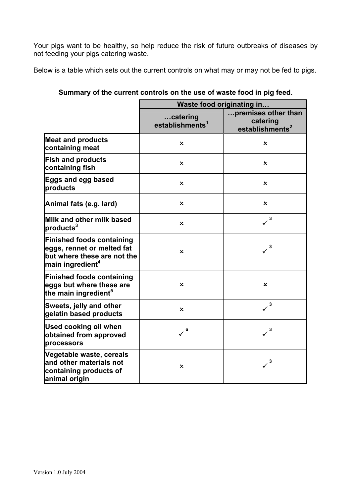Your pigs want to be healthy, so help reduce the risk of future outbreaks of diseases by not feeding your pigs catering waste.

Below is a table which sets out the current controls on what may or may not be fed to pigs.

|                                                                                                                               | Waste food originating in               |                                                                |
|-------------------------------------------------------------------------------------------------------------------------------|-----------------------------------------|----------------------------------------------------------------|
|                                                                                                                               | catering<br>establishments <sup>1</sup> | premises other than<br>catering<br>establishments <sup>2</sup> |
| <b>Meat and products</b><br>containing meat                                                                                   | ×                                       | $\boldsymbol{\mathsf{x}}$                                      |
| <b>Fish and products</b><br>containing fish                                                                                   | $\boldsymbol{\mathsf{x}}$               | ×                                                              |
| <b>Eggs and egg based</b><br>products                                                                                         | $\mathbf x$                             | ×                                                              |
| Animal fats (e.g. lard)                                                                                                       | $\mathbf x$                             | $\mathbf x$                                                    |
| Milk and other milk based<br>products <sup>3</sup>                                                                            | $\boldsymbol{\mathsf{x}}$               | $\times^3$                                                     |
| <b>Finished foods containing</b><br>eggs, rennet or melted fat<br>but where these are not the<br>main ingredient <sup>4</sup> | $\mathbf x$                             | 3                                                              |
| <b>Finished foods containing</b><br>leggs but where these are<br>the main ingredient <sup>5</sup>                             | ×                                       | $\boldsymbol{\mathsf{x}}$                                      |
| Sweets, jelly and other<br>gelatin based products                                                                             | $\mathbf x$                             | 3<br>$\checkmark$                                              |
| <b>Used cooking oil when</b><br>obtained from approved<br>processors                                                          | 6                                       | $\times^3$                                                     |
| Vegetable waste, cereals<br>and other materials not<br>containing products of<br>animal origin                                | ×                                       | 3                                                              |

**Summary of the current controls on the use of waste food in pig feed.**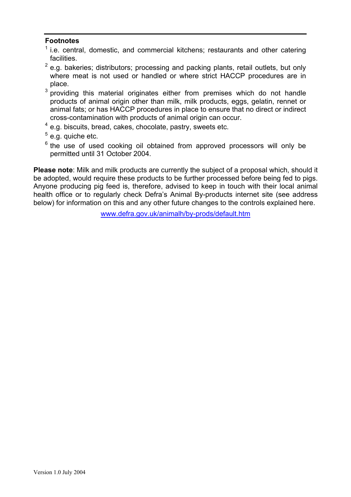## **Footnotes**

- $1$  i.e. central, domestic, and commercial kitchens; restaurants and other catering facilities.
- $2$  e.g. bakeries; distributors; processing and packing plants, retail outlets, but only where meat is not used or handled or where strict HACCP procedures are in place.
- $3$  providing this material originates either from premises which do not handle products of animal origin other than milk, milk products, eggs, gelatin, rennet or animal fats; or has HACCP procedures in place to ensure that no direct or indirect cross-contamination with products of animal origin can occur.
- <sup>4</sup> e.g. biscuits, bread, cakes, chocolate, pastry, sweets etc.
- <sup>5</sup> e.g. quiche etc.
- $6$  the use of used cooking oil obtained from approved processors will only be permitted until 31 October 2004.

**Please note**: Milk and milk products are currently the subject of a proposal which, should it be adopted, would require these products to be further processed before being fed to pigs. Anyone producing pig feed is, therefore, advised to keep in touch with their local animal health office or to regularly check Defra's Animal By-products internet site (see address below) for information on this and any other future changes to the controls explained here.

[www.defra.gov.uk/animalh/by-prods/default.htm](http://www.defra.gov.uk/animalh/by-prods/default.htm)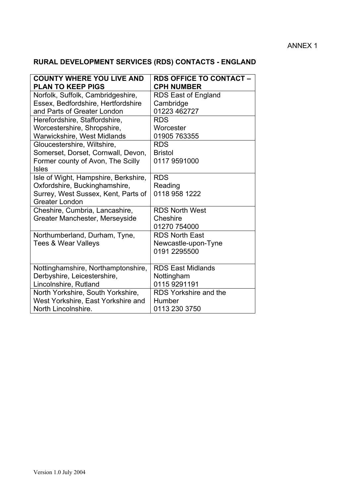## ANNEX 1

## **RURAL DEVELOPMENT SERVICES (RDS) CONTACTS - ENGLAND**

| <b>COUNTY WHERE YOU LIVE AND</b><br><b>PLAN TO KEEP PIGS</b> | <b>RDS OFFICE TO CONTACT-</b><br><b>CPH NUMBER</b> |
|--------------------------------------------------------------|----------------------------------------------------|
| Norfolk, Suffolk, Cambridgeshire,                            | RDS East of England                                |
| Essex, Bedfordshire, Hertfordshire                           | Cambridge                                          |
| and Parts of Greater London                                  | 01223 462727                                       |
| Herefordshire, Staffordshire,                                | <b>RDS</b>                                         |
| Worcestershire, Shropshire,                                  | Worcester                                          |
| Warwickshire, West Midlands                                  | 01905 763355                                       |
| Gloucestershire, Wiltshire,                                  | <b>RDS</b>                                         |
| Somerset, Dorset, Cornwall, Devon,                           | <b>Bristol</b>                                     |
| Former county of Avon, The Scilly                            | 0117 9591000                                       |
| <b>Isles</b>                                                 |                                                    |
| Isle of Wight, Hampshire, Berkshire,                         | <b>RDS</b>                                         |
| Oxfordshire, Buckinghamshire,                                | Reading                                            |
| Surrey, West Sussex, Kent, Parts of                          | 0118 958 1222                                      |
| <b>Greater London</b>                                        |                                                    |
| Cheshire, Cumbria, Lancashire,                               | <b>RDS North West</b>                              |
| Greater Manchester, Merseyside                               | Cheshire                                           |
|                                                              | 01270 754000                                       |
| Northumberland, Durham, Tyne,                                | <b>RDS North East</b>                              |
| <b>Tees &amp; Wear Valleys</b>                               | Newcastle-upon-Tyne                                |
|                                                              | 0191 2295500                                       |
|                                                              |                                                    |
| Nottinghamshire, Northamptonshire,                           | <b>RDS East Midlands</b>                           |
| Derbyshire, Leicestershire,                                  | Nottingham                                         |
| Lincolnshire, Rutland                                        | 0115 9291191                                       |
| North Yorkshire, South Yorkshire,                            | <b>RDS Yorkshire and the</b>                       |
| West Yorkshire, East Yorkshire and                           | Humber                                             |
| North Lincolnshire.                                          | 0113 230 3750                                      |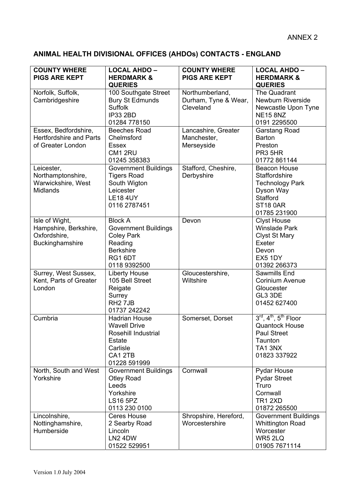## **ANIMAL HEALTH DIVISIONAL OFFICES (AHDOs) CONTACTS - ENGLAND**

| <b>COUNTY WHERE</b><br><b>PIGS ARE KEPT</b>                                 | <b>LOCAL AHDO -</b><br><b>HERDMARK &amp;</b>                                                                                 | <b>COUNTY WHERE</b><br><b>PIGS ARE KEPT</b>          | <b>LOCAL AHDO -</b><br><b>HERDMARK &amp;</b>                                                                                            |
|-----------------------------------------------------------------------------|------------------------------------------------------------------------------------------------------------------------------|------------------------------------------------------|-----------------------------------------------------------------------------------------------------------------------------------------|
|                                                                             | <b>QUERIES</b>                                                                                                               |                                                      | <b>QUERIES</b>                                                                                                                          |
| Norfolk, Suffolk,<br>Cambridgeshire                                         | 100 Southgate Street<br><b>Bury St Edmunds</b><br><b>Suffolk</b><br><b>IP33 2BD</b><br>01284 778150                          | Northumberland,<br>Durham, Tyne & Wear,<br>Cleveland | The Quadrant<br><b>Newburn Riverside</b><br>Newcastle Upon Tyne<br><b>NE15 8NZ</b><br>0191 2295500                                      |
| Essex, Bedfordshire,<br><b>Hertfordshire and Parts</b><br>of Greater London | <b>Beeches Road</b><br>Chelmsford<br><b>Essex</b><br>CM1 2RU<br>01245 358383                                                 | Lancashire, Greater<br>Manchester,<br>Merseyside     | Garstang Road<br><b>Barton</b><br>Preston<br>PR3 5HR<br>01772 861144                                                                    |
| Leicester,<br>Northamptonshire,<br>Warwickshire, West<br><b>Midlands</b>    | <b>Government Buildings</b><br><b>Tigers Road</b><br>South Wigton<br>Leicester<br><b>LE18 4UY</b><br>0116 2787451            | Stafford, Cheshire,<br>Derbyshire                    | <b>Beacon House</b><br>Staffordshire<br><b>Technology Park</b><br>Dyson Way<br>Stafford<br><b>ST18 0AR</b><br>01785 231900              |
| Isle of Wight,<br>Hampshire, Berkshire,<br>Oxfordshire,<br>Buckinghamshire  | <b>Block A</b><br><b>Government Buildings</b><br><b>Coley Park</b><br>Reading<br><b>Berkshire</b><br>RG1 6DT<br>0118 9392500 | Devon                                                | <b>Clyst House</b><br><b>Winslade Park</b><br><b>Clyst St Mary</b><br>Exeter<br>Devon<br>EX5 1DY<br>01392 266373                        |
| Surrey, West Sussex,<br>Kent, Parts of Greater<br>London                    | <b>Liberty House</b><br>105 Bell Street<br>Reigate<br>Surrey<br>RH <sub>2</sub> 7JB<br>01737 242242                          | Gloucestershire,<br>Wiltshire                        | Sawmills End<br><b>Corinium Avenue</b><br>Gloucester<br>GL3 3DE<br>01452 627400                                                         |
| Cumbria                                                                     | <b>Hadrian House</b><br><b>Wavell Drive</b><br>Rosehill Industrial<br><b>Estate</b><br>Carlisle<br>CA1 2TB<br>01228 591999   | Somerset, Dorset                                     | $3^{\text{rd}}, 4^{\text{th}}, 5^{\text{th}}$ Floor<br><b>Quantock House</b><br><b>Paul Street</b><br>Taunton<br>TA13NX<br>01823 337922 |
| North, South and West<br>Yorkshire                                          | <b>Government Buildings</b><br><b>Otley Road</b><br>Leeds<br>Yorkshire<br><b>LS16 5PZ</b><br>0113 230 0100                   | Cornwall                                             | Pydar House<br><b>Pydar Street</b><br>Truro<br>Cornwall<br><b>TR1 2XD</b><br>01872 265500                                               |
| Lincolnshire,<br>Nottinghamshire,<br>Humberside                             | Ceres House<br>2 Searby Road<br>Lincoln<br>LN2 4DW<br>01522 529951                                                           | Shropshire, Hereford,<br>Worcestershire              | <b>Government Buildings</b><br><b>Whittington Road</b><br>Worcester<br>WR5 2LQ<br>01905 7671114                                         |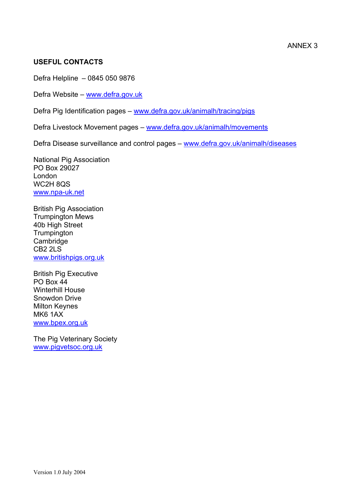## **USEFUL CONTACTS**

Defra Helpline – 0845 050 9876

Defra Website – [www.defra.gov.uk](http://www.defra.gov.uk/)

Defra Pig Identification pages – [www.defra.gov.uk/animalh/tracing/pigs](http://www.defra.gov.uk/animalh/tracing/pigs)

Defra Livestock Movement pages – [www.defra.gov.uk/animalh/movements](http://www.defra.gov.uk/animalh/movements)

Defra Disease surveillance and control pages – [www.defra.gov.uk/animalh/diseases](http://www.defra.gov.uk/animalh/diseases)

National Pig Association PO Box 29027 London WC2H 8QS [www.npa-uk.net](http://www.npa-uk.net/)

British Pig Association Trumpington Mews 40b High Street **Trumpington** Cambridge CB2 2LS [www.britishpigs.org.uk](http://www.britishpigs.org.uk/)

British Pig Executive PO Box 44 Winterhill House Snowdon Drive Milton Keynes MK6 1AX [www.bpex.org.uk](http://www.bpex.org.uk/)

The Pig Veterinary Society [www.pigvetsoc.org.uk](http://www.pigvetsoc.org.uk/)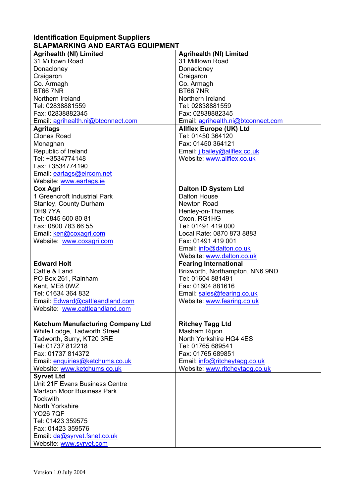## **Identification Equipment Suppliers SLAPMARKING AND EARTAG EQUIPMENT**

| <b>Agrihealth (NI) Limited</b><br><b>Agrihealth (NI) Limited</b><br>31 Milltown Road<br>31 Milltown Road<br>Donacloney<br>Donacloney<br>Craigaron<br>Craigaron<br>Co. Armagh<br>Co. Armagh<br><b>BT66 7NR</b><br><b>BT66 7NR</b><br>Northern Ireland<br>Northern Ireland<br>Tel: 02838881559<br>Tel: 02838881559<br>Fax: 02838882345<br>Fax: 02838882345<br>Email: agrihealth.ni@btconnect.com<br>Email: agrihealth.ni@btconnect.com<br><b>Agritags</b><br><b>Allflex Europe (UK) Ltd</b><br><b>Clones Road</b><br>Tel: 01450 364120<br>Fax: 01450 364121<br>Monaghan<br>Republic of Ireland<br>Email: j.bailey@allflex.co.uk<br>Tel: +3534774148<br>Website: www.allflex.co.uk<br>Fax: +3534774190<br>Email: eartags@eircom.net<br>Website: www.eartags.ie<br><b>Dalton ID System Ltd</b><br><b>Cox Agri</b><br>1 Greencroft Industrial Park<br><b>Dalton House</b><br>Stanley, County Durham<br><b>Newton Road</b><br>DH97YA<br>Henley-on-Thames<br>Tel: 0845 600 80 81<br>Oxon, RG1HG<br>Fax: 0800 783 66 55<br>Tel: 01491 419 000<br>Email: ken@coxagri.com<br>Local Rate: 0870 873 8883<br>Fax: 01491 419 001<br>Website: www.coxagri.com<br>Email: info@dalton.co.uk<br>Website: www.dalton.co.uk<br><b>Edward Holt</b><br><b>Fearing International</b><br>Cattle & Land<br>Brixworth, Northampton, NN6 9ND<br>Tel: 01604 881491<br>PO Box 261, Rainham<br>Kent, ME8 0WZ<br>Fax: 01604 881616<br>Tel: 01634 364 832<br>Email: sales@fearing.co.uk<br>Email: Edward@cattleandland.com<br>Website: www.fearing.co.uk<br>Website: www.cattleandland.com<br><b>Ketchum Manufacturing Company Ltd</b><br><b>Ritchey Tagg Ltd</b><br>White Lodge, Tadworth Street<br>Masham Ripon<br>North Yorkshire HG4 4ES<br>Tadworth, Surry, KT20 3RE<br>Tel: 01737 812218<br>Tel: 01765 689541<br>Fax: 01737 814372<br>Fax: 01765 689851<br>Email: enquiries@ketchums.co.uk<br>Email: info@ritcheytagg.co.uk<br>Website: www.ketchums.co.uk<br>Website: www.ritcheytagg.co.uk<br><b>Syrvet Ltd</b><br>Unit 21F Evans Business Centre<br><b>Martson Moor Business Park</b><br><b>Tockwith</b> |                         |  |
|-----------------------------------------------------------------------------------------------------------------------------------------------------------------------------------------------------------------------------------------------------------------------------------------------------------------------------------------------------------------------------------------------------------------------------------------------------------------------------------------------------------------------------------------------------------------------------------------------------------------------------------------------------------------------------------------------------------------------------------------------------------------------------------------------------------------------------------------------------------------------------------------------------------------------------------------------------------------------------------------------------------------------------------------------------------------------------------------------------------------------------------------------------------------------------------------------------------------------------------------------------------------------------------------------------------------------------------------------------------------------------------------------------------------------------------------------------------------------------------------------------------------------------------------------------------------------------------------------------------------------------------------------------------------------------------------------------------------------------------------------------------------------------------------------------------------------------------------------------------------------------------------------------------------------------------------------------------------------------------------------------------------------------------------------------------------------------------|-------------------------|--|
|                                                                                                                                                                                                                                                                                                                                                                                                                                                                                                                                                                                                                                                                                                                                                                                                                                                                                                                                                                                                                                                                                                                                                                                                                                                                                                                                                                                                                                                                                                                                                                                                                                                                                                                                                                                                                                                                                                                                                                                                                                                                                   |                         |  |
|                                                                                                                                                                                                                                                                                                                                                                                                                                                                                                                                                                                                                                                                                                                                                                                                                                                                                                                                                                                                                                                                                                                                                                                                                                                                                                                                                                                                                                                                                                                                                                                                                                                                                                                                                                                                                                                                                                                                                                                                                                                                                   |                         |  |
|                                                                                                                                                                                                                                                                                                                                                                                                                                                                                                                                                                                                                                                                                                                                                                                                                                                                                                                                                                                                                                                                                                                                                                                                                                                                                                                                                                                                                                                                                                                                                                                                                                                                                                                                                                                                                                                                                                                                                                                                                                                                                   |                         |  |
|                                                                                                                                                                                                                                                                                                                                                                                                                                                                                                                                                                                                                                                                                                                                                                                                                                                                                                                                                                                                                                                                                                                                                                                                                                                                                                                                                                                                                                                                                                                                                                                                                                                                                                                                                                                                                                                                                                                                                                                                                                                                                   |                         |  |
|                                                                                                                                                                                                                                                                                                                                                                                                                                                                                                                                                                                                                                                                                                                                                                                                                                                                                                                                                                                                                                                                                                                                                                                                                                                                                                                                                                                                                                                                                                                                                                                                                                                                                                                                                                                                                                                                                                                                                                                                                                                                                   |                         |  |
|                                                                                                                                                                                                                                                                                                                                                                                                                                                                                                                                                                                                                                                                                                                                                                                                                                                                                                                                                                                                                                                                                                                                                                                                                                                                                                                                                                                                                                                                                                                                                                                                                                                                                                                                                                                                                                                                                                                                                                                                                                                                                   |                         |  |
|                                                                                                                                                                                                                                                                                                                                                                                                                                                                                                                                                                                                                                                                                                                                                                                                                                                                                                                                                                                                                                                                                                                                                                                                                                                                                                                                                                                                                                                                                                                                                                                                                                                                                                                                                                                                                                                                                                                                                                                                                                                                                   |                         |  |
|                                                                                                                                                                                                                                                                                                                                                                                                                                                                                                                                                                                                                                                                                                                                                                                                                                                                                                                                                                                                                                                                                                                                                                                                                                                                                                                                                                                                                                                                                                                                                                                                                                                                                                                                                                                                                                                                                                                                                                                                                                                                                   |                         |  |
|                                                                                                                                                                                                                                                                                                                                                                                                                                                                                                                                                                                                                                                                                                                                                                                                                                                                                                                                                                                                                                                                                                                                                                                                                                                                                                                                                                                                                                                                                                                                                                                                                                                                                                                                                                                                                                                                                                                                                                                                                                                                                   |                         |  |
|                                                                                                                                                                                                                                                                                                                                                                                                                                                                                                                                                                                                                                                                                                                                                                                                                                                                                                                                                                                                                                                                                                                                                                                                                                                                                                                                                                                                                                                                                                                                                                                                                                                                                                                                                                                                                                                                                                                                                                                                                                                                                   |                         |  |
|                                                                                                                                                                                                                                                                                                                                                                                                                                                                                                                                                                                                                                                                                                                                                                                                                                                                                                                                                                                                                                                                                                                                                                                                                                                                                                                                                                                                                                                                                                                                                                                                                                                                                                                                                                                                                                                                                                                                                                                                                                                                                   |                         |  |
|                                                                                                                                                                                                                                                                                                                                                                                                                                                                                                                                                                                                                                                                                                                                                                                                                                                                                                                                                                                                                                                                                                                                                                                                                                                                                                                                                                                                                                                                                                                                                                                                                                                                                                                                                                                                                                                                                                                                                                                                                                                                                   |                         |  |
|                                                                                                                                                                                                                                                                                                                                                                                                                                                                                                                                                                                                                                                                                                                                                                                                                                                                                                                                                                                                                                                                                                                                                                                                                                                                                                                                                                                                                                                                                                                                                                                                                                                                                                                                                                                                                                                                                                                                                                                                                                                                                   |                         |  |
|                                                                                                                                                                                                                                                                                                                                                                                                                                                                                                                                                                                                                                                                                                                                                                                                                                                                                                                                                                                                                                                                                                                                                                                                                                                                                                                                                                                                                                                                                                                                                                                                                                                                                                                                                                                                                                                                                                                                                                                                                                                                                   |                         |  |
|                                                                                                                                                                                                                                                                                                                                                                                                                                                                                                                                                                                                                                                                                                                                                                                                                                                                                                                                                                                                                                                                                                                                                                                                                                                                                                                                                                                                                                                                                                                                                                                                                                                                                                                                                                                                                                                                                                                                                                                                                                                                                   |                         |  |
|                                                                                                                                                                                                                                                                                                                                                                                                                                                                                                                                                                                                                                                                                                                                                                                                                                                                                                                                                                                                                                                                                                                                                                                                                                                                                                                                                                                                                                                                                                                                                                                                                                                                                                                                                                                                                                                                                                                                                                                                                                                                                   |                         |  |
|                                                                                                                                                                                                                                                                                                                                                                                                                                                                                                                                                                                                                                                                                                                                                                                                                                                                                                                                                                                                                                                                                                                                                                                                                                                                                                                                                                                                                                                                                                                                                                                                                                                                                                                                                                                                                                                                                                                                                                                                                                                                                   |                         |  |
|                                                                                                                                                                                                                                                                                                                                                                                                                                                                                                                                                                                                                                                                                                                                                                                                                                                                                                                                                                                                                                                                                                                                                                                                                                                                                                                                                                                                                                                                                                                                                                                                                                                                                                                                                                                                                                                                                                                                                                                                                                                                                   |                         |  |
|                                                                                                                                                                                                                                                                                                                                                                                                                                                                                                                                                                                                                                                                                                                                                                                                                                                                                                                                                                                                                                                                                                                                                                                                                                                                                                                                                                                                                                                                                                                                                                                                                                                                                                                                                                                                                                                                                                                                                                                                                                                                                   |                         |  |
|                                                                                                                                                                                                                                                                                                                                                                                                                                                                                                                                                                                                                                                                                                                                                                                                                                                                                                                                                                                                                                                                                                                                                                                                                                                                                                                                                                                                                                                                                                                                                                                                                                                                                                                                                                                                                                                                                                                                                                                                                                                                                   |                         |  |
|                                                                                                                                                                                                                                                                                                                                                                                                                                                                                                                                                                                                                                                                                                                                                                                                                                                                                                                                                                                                                                                                                                                                                                                                                                                                                                                                                                                                                                                                                                                                                                                                                                                                                                                                                                                                                                                                                                                                                                                                                                                                                   |                         |  |
|                                                                                                                                                                                                                                                                                                                                                                                                                                                                                                                                                                                                                                                                                                                                                                                                                                                                                                                                                                                                                                                                                                                                                                                                                                                                                                                                                                                                                                                                                                                                                                                                                                                                                                                                                                                                                                                                                                                                                                                                                                                                                   |                         |  |
|                                                                                                                                                                                                                                                                                                                                                                                                                                                                                                                                                                                                                                                                                                                                                                                                                                                                                                                                                                                                                                                                                                                                                                                                                                                                                                                                                                                                                                                                                                                                                                                                                                                                                                                                                                                                                                                                                                                                                                                                                                                                                   |                         |  |
|                                                                                                                                                                                                                                                                                                                                                                                                                                                                                                                                                                                                                                                                                                                                                                                                                                                                                                                                                                                                                                                                                                                                                                                                                                                                                                                                                                                                                                                                                                                                                                                                                                                                                                                                                                                                                                                                                                                                                                                                                                                                                   |                         |  |
|                                                                                                                                                                                                                                                                                                                                                                                                                                                                                                                                                                                                                                                                                                                                                                                                                                                                                                                                                                                                                                                                                                                                                                                                                                                                                                                                                                                                                                                                                                                                                                                                                                                                                                                                                                                                                                                                                                                                                                                                                                                                                   |                         |  |
|                                                                                                                                                                                                                                                                                                                                                                                                                                                                                                                                                                                                                                                                                                                                                                                                                                                                                                                                                                                                                                                                                                                                                                                                                                                                                                                                                                                                                                                                                                                                                                                                                                                                                                                                                                                                                                                                                                                                                                                                                                                                                   |                         |  |
|                                                                                                                                                                                                                                                                                                                                                                                                                                                                                                                                                                                                                                                                                                                                                                                                                                                                                                                                                                                                                                                                                                                                                                                                                                                                                                                                                                                                                                                                                                                                                                                                                                                                                                                                                                                                                                                                                                                                                                                                                                                                                   |                         |  |
|                                                                                                                                                                                                                                                                                                                                                                                                                                                                                                                                                                                                                                                                                                                                                                                                                                                                                                                                                                                                                                                                                                                                                                                                                                                                                                                                                                                                                                                                                                                                                                                                                                                                                                                                                                                                                                                                                                                                                                                                                                                                                   |                         |  |
|                                                                                                                                                                                                                                                                                                                                                                                                                                                                                                                                                                                                                                                                                                                                                                                                                                                                                                                                                                                                                                                                                                                                                                                                                                                                                                                                                                                                                                                                                                                                                                                                                                                                                                                                                                                                                                                                                                                                                                                                                                                                                   |                         |  |
|                                                                                                                                                                                                                                                                                                                                                                                                                                                                                                                                                                                                                                                                                                                                                                                                                                                                                                                                                                                                                                                                                                                                                                                                                                                                                                                                                                                                                                                                                                                                                                                                                                                                                                                                                                                                                                                                                                                                                                                                                                                                                   |                         |  |
|                                                                                                                                                                                                                                                                                                                                                                                                                                                                                                                                                                                                                                                                                                                                                                                                                                                                                                                                                                                                                                                                                                                                                                                                                                                                                                                                                                                                                                                                                                                                                                                                                                                                                                                                                                                                                                                                                                                                                                                                                                                                                   |                         |  |
|                                                                                                                                                                                                                                                                                                                                                                                                                                                                                                                                                                                                                                                                                                                                                                                                                                                                                                                                                                                                                                                                                                                                                                                                                                                                                                                                                                                                                                                                                                                                                                                                                                                                                                                                                                                                                                                                                                                                                                                                                                                                                   |                         |  |
|                                                                                                                                                                                                                                                                                                                                                                                                                                                                                                                                                                                                                                                                                                                                                                                                                                                                                                                                                                                                                                                                                                                                                                                                                                                                                                                                                                                                                                                                                                                                                                                                                                                                                                                                                                                                                                                                                                                                                                                                                                                                                   |                         |  |
|                                                                                                                                                                                                                                                                                                                                                                                                                                                                                                                                                                                                                                                                                                                                                                                                                                                                                                                                                                                                                                                                                                                                                                                                                                                                                                                                                                                                                                                                                                                                                                                                                                                                                                                                                                                                                                                                                                                                                                                                                                                                                   |                         |  |
|                                                                                                                                                                                                                                                                                                                                                                                                                                                                                                                                                                                                                                                                                                                                                                                                                                                                                                                                                                                                                                                                                                                                                                                                                                                                                                                                                                                                                                                                                                                                                                                                                                                                                                                                                                                                                                                                                                                                                                                                                                                                                   |                         |  |
|                                                                                                                                                                                                                                                                                                                                                                                                                                                                                                                                                                                                                                                                                                                                                                                                                                                                                                                                                                                                                                                                                                                                                                                                                                                                                                                                                                                                                                                                                                                                                                                                                                                                                                                                                                                                                                                                                                                                                                                                                                                                                   |                         |  |
|                                                                                                                                                                                                                                                                                                                                                                                                                                                                                                                                                                                                                                                                                                                                                                                                                                                                                                                                                                                                                                                                                                                                                                                                                                                                                                                                                                                                                                                                                                                                                                                                                                                                                                                                                                                                                                                                                                                                                                                                                                                                                   |                         |  |
|                                                                                                                                                                                                                                                                                                                                                                                                                                                                                                                                                                                                                                                                                                                                                                                                                                                                                                                                                                                                                                                                                                                                                                                                                                                                                                                                                                                                                                                                                                                                                                                                                                                                                                                                                                                                                                                                                                                                                                                                                                                                                   |                         |  |
|                                                                                                                                                                                                                                                                                                                                                                                                                                                                                                                                                                                                                                                                                                                                                                                                                                                                                                                                                                                                                                                                                                                                                                                                                                                                                                                                                                                                                                                                                                                                                                                                                                                                                                                                                                                                                                                                                                                                                                                                                                                                                   |                         |  |
|                                                                                                                                                                                                                                                                                                                                                                                                                                                                                                                                                                                                                                                                                                                                                                                                                                                                                                                                                                                                                                                                                                                                                                                                                                                                                                                                                                                                                                                                                                                                                                                                                                                                                                                                                                                                                                                                                                                                                                                                                                                                                   |                         |  |
|                                                                                                                                                                                                                                                                                                                                                                                                                                                                                                                                                                                                                                                                                                                                                                                                                                                                                                                                                                                                                                                                                                                                                                                                                                                                                                                                                                                                                                                                                                                                                                                                                                                                                                                                                                                                                                                                                                                                                                                                                                                                                   |                         |  |
|                                                                                                                                                                                                                                                                                                                                                                                                                                                                                                                                                                                                                                                                                                                                                                                                                                                                                                                                                                                                                                                                                                                                                                                                                                                                                                                                                                                                                                                                                                                                                                                                                                                                                                                                                                                                                                                                                                                                                                                                                                                                                   |                         |  |
|                                                                                                                                                                                                                                                                                                                                                                                                                                                                                                                                                                                                                                                                                                                                                                                                                                                                                                                                                                                                                                                                                                                                                                                                                                                                                                                                                                                                                                                                                                                                                                                                                                                                                                                                                                                                                                                                                                                                                                                                                                                                                   |                         |  |
|                                                                                                                                                                                                                                                                                                                                                                                                                                                                                                                                                                                                                                                                                                                                                                                                                                                                                                                                                                                                                                                                                                                                                                                                                                                                                                                                                                                                                                                                                                                                                                                                                                                                                                                                                                                                                                                                                                                                                                                                                                                                                   |                         |  |
|                                                                                                                                                                                                                                                                                                                                                                                                                                                                                                                                                                                                                                                                                                                                                                                                                                                                                                                                                                                                                                                                                                                                                                                                                                                                                                                                                                                                                                                                                                                                                                                                                                                                                                                                                                                                                                                                                                                                                                                                                                                                                   |                         |  |
|                                                                                                                                                                                                                                                                                                                                                                                                                                                                                                                                                                                                                                                                                                                                                                                                                                                                                                                                                                                                                                                                                                                                                                                                                                                                                                                                                                                                                                                                                                                                                                                                                                                                                                                                                                                                                                                                                                                                                                                                                                                                                   |                         |  |
| North Yorkshire                                                                                                                                                                                                                                                                                                                                                                                                                                                                                                                                                                                                                                                                                                                                                                                                                                                                                                                                                                                                                                                                                                                                                                                                                                                                                                                                                                                                                                                                                                                                                                                                                                                                                                                                                                                                                                                                                                                                                                                                                                                                   |                         |  |
| <b>YO26 7QF</b>                                                                                                                                                                                                                                                                                                                                                                                                                                                                                                                                                                                                                                                                                                                                                                                                                                                                                                                                                                                                                                                                                                                                                                                                                                                                                                                                                                                                                                                                                                                                                                                                                                                                                                                                                                                                                                                                                                                                                                                                                                                                   |                         |  |
| Tel: 01423 359575                                                                                                                                                                                                                                                                                                                                                                                                                                                                                                                                                                                                                                                                                                                                                                                                                                                                                                                                                                                                                                                                                                                                                                                                                                                                                                                                                                                                                                                                                                                                                                                                                                                                                                                                                                                                                                                                                                                                                                                                                                                                 |                         |  |
| Fax: 01423 359576                                                                                                                                                                                                                                                                                                                                                                                                                                                                                                                                                                                                                                                                                                                                                                                                                                                                                                                                                                                                                                                                                                                                                                                                                                                                                                                                                                                                                                                                                                                                                                                                                                                                                                                                                                                                                                                                                                                                                                                                                                                                 |                         |  |
| Email: da@syrvet.fsnet.co.uk                                                                                                                                                                                                                                                                                                                                                                                                                                                                                                                                                                                                                                                                                                                                                                                                                                                                                                                                                                                                                                                                                                                                                                                                                                                                                                                                                                                                                                                                                                                                                                                                                                                                                                                                                                                                                                                                                                                                                                                                                                                      |                         |  |
|                                                                                                                                                                                                                                                                                                                                                                                                                                                                                                                                                                                                                                                                                                                                                                                                                                                                                                                                                                                                                                                                                                                                                                                                                                                                                                                                                                                                                                                                                                                                                                                                                                                                                                                                                                                                                                                                                                                                                                                                                                                                                   | Website: www.syrvet.com |  |
|                                                                                                                                                                                                                                                                                                                                                                                                                                                                                                                                                                                                                                                                                                                                                                                                                                                                                                                                                                                                                                                                                                                                                                                                                                                                                                                                                                                                                                                                                                                                                                                                                                                                                                                                                                                                                                                                                                                                                                                                                                                                                   |                         |  |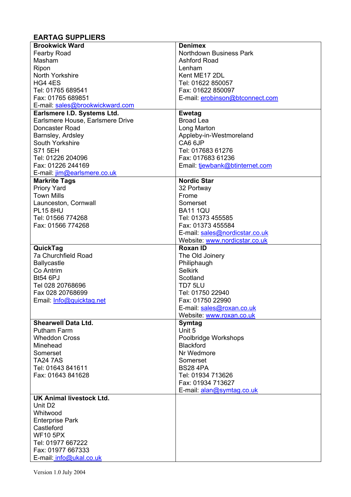## **EARTAG SUPPLIERS**

| <b>Northdown Business Park</b><br><b>Fearby Road</b><br>Masham<br><b>Ashford Road</b><br>Ripon<br>Lenham<br>North Yorkshire<br>Kent ME17 2DL<br>HG4 4ES<br>Tel: 01622 850057<br>Tel: 01765 689541<br>Fax: 01622 850097<br>Fax: 01765 689851<br>E-mail: erobinson@btconnect.com<br>E-mail: sales@brookwickward.com<br>Earlsmere I.D. Systems Ltd.<br><b>Ewetag</b><br>Earlsmere House, Earlsmere Drive<br><b>Broad Lea</b><br>Doncaster Road<br>Long Marton<br>Barnsley, Ardsley<br>Appleby-in-Westmoreland<br>CA6 6JP<br>South Yorkshire<br>S71 5EH<br>Tel: 017683 61276<br>Tel: 01226 204096<br>Fax: 017683 61236<br>Fax: 01226 244169<br>Email: tiewbank@btinternet.com<br>E-mail: jim@earlsmere.co.uk<br><b>Nordic Star</b><br><b>Markrite Tags</b><br><b>Priory Yard</b><br>32 Portway<br><b>Town Mills</b><br>Frome<br>Somerset<br>Launceston, Cornwall<br><b>PL15 8HU</b><br><b>BA11 1QU</b><br>Tel: 01566 774268<br>Tel: 01373 455585<br>Fax: 01566 774268<br>Fax: 01373 455584<br>E-mail: sales@nordicstar.co.uk<br>Website: www.nordicstar.co.uk<br><b>Roxan ID</b><br>QuickTag<br>7a Churchfield Road<br>The Old Joinery<br><b>Ballycastle</b><br>Philiphaugh<br><b>Selkirk</b><br>Co Antrim<br><b>Bt54 6PJ</b><br>Scotland<br>Tel 028 20768696<br>TD7 5LU<br>Fax 028 20768699<br>Tel: 01750 22940<br>Fax: 01750 22990<br>Email: Info@quicktag.net<br>E-mail: sales@roxan.co.uk<br>Website: www.roxan.co.uk<br><b>Shearwell Data Ltd.</b><br>Symtag<br>Unit 5<br><b>Putham Farm</b><br><b>Wheddon Cross</b><br>Poolbridge Workshops<br><b>Blackford</b><br>Minehead<br>Nr Wedmore<br>Somerset<br><b>TA24 7AS</b><br>Somerset<br>Tel: 01643 841611<br><b>BS28 4PA</b><br>Fax: 01643 841628<br>Tel: 01934 713626<br>Fax: 01934 713627<br>E-mail: alan@symtag.co.uk<br><b>UK Animal livestock Ltd.</b><br>Unit D <sub>2</sub><br>Whitwood<br><b>Enterprise Park</b><br>Castleford<br><b>WF10 5PX</b><br>Tel: 01977 667222<br>Fax: 01977 667333 | <b>Brookwick Ward</b> | <b>Denimex</b> |
|-------------------------------------------------------------------------------------------------------------------------------------------------------------------------------------------------------------------------------------------------------------------------------------------------------------------------------------------------------------------------------------------------------------------------------------------------------------------------------------------------------------------------------------------------------------------------------------------------------------------------------------------------------------------------------------------------------------------------------------------------------------------------------------------------------------------------------------------------------------------------------------------------------------------------------------------------------------------------------------------------------------------------------------------------------------------------------------------------------------------------------------------------------------------------------------------------------------------------------------------------------------------------------------------------------------------------------------------------------------------------------------------------------------------------------------------------------------------------------------------------------------------------------------------------------------------------------------------------------------------------------------------------------------------------------------------------------------------------------------------------------------------------------------------------------------------------------------------------------------------------------------------------------------------------------------------------------|-----------------------|----------------|
|                                                                                                                                                                                                                                                                                                                                                                                                                                                                                                                                                                                                                                                                                                                                                                                                                                                                                                                                                                                                                                                                                                                                                                                                                                                                                                                                                                                                                                                                                                                                                                                                                                                                                                                                                                                                                                                                                                                                                       |                       |                |
|                                                                                                                                                                                                                                                                                                                                                                                                                                                                                                                                                                                                                                                                                                                                                                                                                                                                                                                                                                                                                                                                                                                                                                                                                                                                                                                                                                                                                                                                                                                                                                                                                                                                                                                                                                                                                                                                                                                                                       |                       |                |
|                                                                                                                                                                                                                                                                                                                                                                                                                                                                                                                                                                                                                                                                                                                                                                                                                                                                                                                                                                                                                                                                                                                                                                                                                                                                                                                                                                                                                                                                                                                                                                                                                                                                                                                                                                                                                                                                                                                                                       |                       |                |
|                                                                                                                                                                                                                                                                                                                                                                                                                                                                                                                                                                                                                                                                                                                                                                                                                                                                                                                                                                                                                                                                                                                                                                                                                                                                                                                                                                                                                                                                                                                                                                                                                                                                                                                                                                                                                                                                                                                                                       |                       |                |
|                                                                                                                                                                                                                                                                                                                                                                                                                                                                                                                                                                                                                                                                                                                                                                                                                                                                                                                                                                                                                                                                                                                                                                                                                                                                                                                                                                                                                                                                                                                                                                                                                                                                                                                                                                                                                                                                                                                                                       |                       |                |
|                                                                                                                                                                                                                                                                                                                                                                                                                                                                                                                                                                                                                                                                                                                                                                                                                                                                                                                                                                                                                                                                                                                                                                                                                                                                                                                                                                                                                                                                                                                                                                                                                                                                                                                                                                                                                                                                                                                                                       |                       |                |
|                                                                                                                                                                                                                                                                                                                                                                                                                                                                                                                                                                                                                                                                                                                                                                                                                                                                                                                                                                                                                                                                                                                                                                                                                                                                                                                                                                                                                                                                                                                                                                                                                                                                                                                                                                                                                                                                                                                                                       |                       |                |
|                                                                                                                                                                                                                                                                                                                                                                                                                                                                                                                                                                                                                                                                                                                                                                                                                                                                                                                                                                                                                                                                                                                                                                                                                                                                                                                                                                                                                                                                                                                                                                                                                                                                                                                                                                                                                                                                                                                                                       |                       |                |
|                                                                                                                                                                                                                                                                                                                                                                                                                                                                                                                                                                                                                                                                                                                                                                                                                                                                                                                                                                                                                                                                                                                                                                                                                                                                                                                                                                                                                                                                                                                                                                                                                                                                                                                                                                                                                                                                                                                                                       |                       |                |
|                                                                                                                                                                                                                                                                                                                                                                                                                                                                                                                                                                                                                                                                                                                                                                                                                                                                                                                                                                                                                                                                                                                                                                                                                                                                                                                                                                                                                                                                                                                                                                                                                                                                                                                                                                                                                                                                                                                                                       |                       |                |
|                                                                                                                                                                                                                                                                                                                                                                                                                                                                                                                                                                                                                                                                                                                                                                                                                                                                                                                                                                                                                                                                                                                                                                                                                                                                                                                                                                                                                                                                                                                                                                                                                                                                                                                                                                                                                                                                                                                                                       |                       |                |
|                                                                                                                                                                                                                                                                                                                                                                                                                                                                                                                                                                                                                                                                                                                                                                                                                                                                                                                                                                                                                                                                                                                                                                                                                                                                                                                                                                                                                                                                                                                                                                                                                                                                                                                                                                                                                                                                                                                                                       |                       |                |
|                                                                                                                                                                                                                                                                                                                                                                                                                                                                                                                                                                                                                                                                                                                                                                                                                                                                                                                                                                                                                                                                                                                                                                                                                                                                                                                                                                                                                                                                                                                                                                                                                                                                                                                                                                                                                                                                                                                                                       |                       |                |
|                                                                                                                                                                                                                                                                                                                                                                                                                                                                                                                                                                                                                                                                                                                                                                                                                                                                                                                                                                                                                                                                                                                                                                                                                                                                                                                                                                                                                                                                                                                                                                                                                                                                                                                                                                                                                                                                                                                                                       |                       |                |
|                                                                                                                                                                                                                                                                                                                                                                                                                                                                                                                                                                                                                                                                                                                                                                                                                                                                                                                                                                                                                                                                                                                                                                                                                                                                                                                                                                                                                                                                                                                                                                                                                                                                                                                                                                                                                                                                                                                                                       |                       |                |
|                                                                                                                                                                                                                                                                                                                                                                                                                                                                                                                                                                                                                                                                                                                                                                                                                                                                                                                                                                                                                                                                                                                                                                                                                                                                                                                                                                                                                                                                                                                                                                                                                                                                                                                                                                                                                                                                                                                                                       |                       |                |
|                                                                                                                                                                                                                                                                                                                                                                                                                                                                                                                                                                                                                                                                                                                                                                                                                                                                                                                                                                                                                                                                                                                                                                                                                                                                                                                                                                                                                                                                                                                                                                                                                                                                                                                                                                                                                                                                                                                                                       |                       |                |
|                                                                                                                                                                                                                                                                                                                                                                                                                                                                                                                                                                                                                                                                                                                                                                                                                                                                                                                                                                                                                                                                                                                                                                                                                                                                                                                                                                                                                                                                                                                                                                                                                                                                                                                                                                                                                                                                                                                                                       |                       |                |
|                                                                                                                                                                                                                                                                                                                                                                                                                                                                                                                                                                                                                                                                                                                                                                                                                                                                                                                                                                                                                                                                                                                                                                                                                                                                                                                                                                                                                                                                                                                                                                                                                                                                                                                                                                                                                                                                                                                                                       |                       |                |
|                                                                                                                                                                                                                                                                                                                                                                                                                                                                                                                                                                                                                                                                                                                                                                                                                                                                                                                                                                                                                                                                                                                                                                                                                                                                                                                                                                                                                                                                                                                                                                                                                                                                                                                                                                                                                                                                                                                                                       |                       |                |
|                                                                                                                                                                                                                                                                                                                                                                                                                                                                                                                                                                                                                                                                                                                                                                                                                                                                                                                                                                                                                                                                                                                                                                                                                                                                                                                                                                                                                                                                                                                                                                                                                                                                                                                                                                                                                                                                                                                                                       |                       |                |
|                                                                                                                                                                                                                                                                                                                                                                                                                                                                                                                                                                                                                                                                                                                                                                                                                                                                                                                                                                                                                                                                                                                                                                                                                                                                                                                                                                                                                                                                                                                                                                                                                                                                                                                                                                                                                                                                                                                                                       |                       |                |
|                                                                                                                                                                                                                                                                                                                                                                                                                                                                                                                                                                                                                                                                                                                                                                                                                                                                                                                                                                                                                                                                                                                                                                                                                                                                                                                                                                                                                                                                                                                                                                                                                                                                                                                                                                                                                                                                                                                                                       |                       |                |
|                                                                                                                                                                                                                                                                                                                                                                                                                                                                                                                                                                                                                                                                                                                                                                                                                                                                                                                                                                                                                                                                                                                                                                                                                                                                                                                                                                                                                                                                                                                                                                                                                                                                                                                                                                                                                                                                                                                                                       |                       |                |
|                                                                                                                                                                                                                                                                                                                                                                                                                                                                                                                                                                                                                                                                                                                                                                                                                                                                                                                                                                                                                                                                                                                                                                                                                                                                                                                                                                                                                                                                                                                                                                                                                                                                                                                                                                                                                                                                                                                                                       |                       |                |
|                                                                                                                                                                                                                                                                                                                                                                                                                                                                                                                                                                                                                                                                                                                                                                                                                                                                                                                                                                                                                                                                                                                                                                                                                                                                                                                                                                                                                                                                                                                                                                                                                                                                                                                                                                                                                                                                                                                                                       |                       |                |
|                                                                                                                                                                                                                                                                                                                                                                                                                                                                                                                                                                                                                                                                                                                                                                                                                                                                                                                                                                                                                                                                                                                                                                                                                                                                                                                                                                                                                                                                                                                                                                                                                                                                                                                                                                                                                                                                                                                                                       |                       |                |
|                                                                                                                                                                                                                                                                                                                                                                                                                                                                                                                                                                                                                                                                                                                                                                                                                                                                                                                                                                                                                                                                                                                                                                                                                                                                                                                                                                                                                                                                                                                                                                                                                                                                                                                                                                                                                                                                                                                                                       |                       |                |
|                                                                                                                                                                                                                                                                                                                                                                                                                                                                                                                                                                                                                                                                                                                                                                                                                                                                                                                                                                                                                                                                                                                                                                                                                                                                                                                                                                                                                                                                                                                                                                                                                                                                                                                                                                                                                                                                                                                                                       |                       |                |
|                                                                                                                                                                                                                                                                                                                                                                                                                                                                                                                                                                                                                                                                                                                                                                                                                                                                                                                                                                                                                                                                                                                                                                                                                                                                                                                                                                                                                                                                                                                                                                                                                                                                                                                                                                                                                                                                                                                                                       |                       |                |
|                                                                                                                                                                                                                                                                                                                                                                                                                                                                                                                                                                                                                                                                                                                                                                                                                                                                                                                                                                                                                                                                                                                                                                                                                                                                                                                                                                                                                                                                                                                                                                                                                                                                                                                                                                                                                                                                                                                                                       |                       |                |
|                                                                                                                                                                                                                                                                                                                                                                                                                                                                                                                                                                                                                                                                                                                                                                                                                                                                                                                                                                                                                                                                                                                                                                                                                                                                                                                                                                                                                                                                                                                                                                                                                                                                                                                                                                                                                                                                                                                                                       |                       |                |
|                                                                                                                                                                                                                                                                                                                                                                                                                                                                                                                                                                                                                                                                                                                                                                                                                                                                                                                                                                                                                                                                                                                                                                                                                                                                                                                                                                                                                                                                                                                                                                                                                                                                                                                                                                                                                                                                                                                                                       |                       |                |
|                                                                                                                                                                                                                                                                                                                                                                                                                                                                                                                                                                                                                                                                                                                                                                                                                                                                                                                                                                                                                                                                                                                                                                                                                                                                                                                                                                                                                                                                                                                                                                                                                                                                                                                                                                                                                                                                                                                                                       |                       |                |
|                                                                                                                                                                                                                                                                                                                                                                                                                                                                                                                                                                                                                                                                                                                                                                                                                                                                                                                                                                                                                                                                                                                                                                                                                                                                                                                                                                                                                                                                                                                                                                                                                                                                                                                                                                                                                                                                                                                                                       |                       |                |
|                                                                                                                                                                                                                                                                                                                                                                                                                                                                                                                                                                                                                                                                                                                                                                                                                                                                                                                                                                                                                                                                                                                                                                                                                                                                                                                                                                                                                                                                                                                                                                                                                                                                                                                                                                                                                                                                                                                                                       |                       |                |
|                                                                                                                                                                                                                                                                                                                                                                                                                                                                                                                                                                                                                                                                                                                                                                                                                                                                                                                                                                                                                                                                                                                                                                                                                                                                                                                                                                                                                                                                                                                                                                                                                                                                                                                                                                                                                                                                                                                                                       |                       |                |
|                                                                                                                                                                                                                                                                                                                                                                                                                                                                                                                                                                                                                                                                                                                                                                                                                                                                                                                                                                                                                                                                                                                                                                                                                                                                                                                                                                                                                                                                                                                                                                                                                                                                                                                                                                                                                                                                                                                                                       |                       |                |
|                                                                                                                                                                                                                                                                                                                                                                                                                                                                                                                                                                                                                                                                                                                                                                                                                                                                                                                                                                                                                                                                                                                                                                                                                                                                                                                                                                                                                                                                                                                                                                                                                                                                                                                                                                                                                                                                                                                                                       |                       |                |
|                                                                                                                                                                                                                                                                                                                                                                                                                                                                                                                                                                                                                                                                                                                                                                                                                                                                                                                                                                                                                                                                                                                                                                                                                                                                                                                                                                                                                                                                                                                                                                                                                                                                                                                                                                                                                                                                                                                                                       |                       |                |
|                                                                                                                                                                                                                                                                                                                                                                                                                                                                                                                                                                                                                                                                                                                                                                                                                                                                                                                                                                                                                                                                                                                                                                                                                                                                                                                                                                                                                                                                                                                                                                                                                                                                                                                                                                                                                                                                                                                                                       |                       |                |
|                                                                                                                                                                                                                                                                                                                                                                                                                                                                                                                                                                                                                                                                                                                                                                                                                                                                                                                                                                                                                                                                                                                                                                                                                                                                                                                                                                                                                                                                                                                                                                                                                                                                                                                                                                                                                                                                                                                                                       |                       |                |
|                                                                                                                                                                                                                                                                                                                                                                                                                                                                                                                                                                                                                                                                                                                                                                                                                                                                                                                                                                                                                                                                                                                                                                                                                                                                                                                                                                                                                                                                                                                                                                                                                                                                                                                                                                                                                                                                                                                                                       |                       |                |
|                                                                                                                                                                                                                                                                                                                                                                                                                                                                                                                                                                                                                                                                                                                                                                                                                                                                                                                                                                                                                                                                                                                                                                                                                                                                                                                                                                                                                                                                                                                                                                                                                                                                                                                                                                                                                                                                                                                                                       |                       |                |
|                                                                                                                                                                                                                                                                                                                                                                                                                                                                                                                                                                                                                                                                                                                                                                                                                                                                                                                                                                                                                                                                                                                                                                                                                                                                                                                                                                                                                                                                                                                                                                                                                                                                                                                                                                                                                                                                                                                                                       |                       |                |
|                                                                                                                                                                                                                                                                                                                                                                                                                                                                                                                                                                                                                                                                                                                                                                                                                                                                                                                                                                                                                                                                                                                                                                                                                                                                                                                                                                                                                                                                                                                                                                                                                                                                                                                                                                                                                                                                                                                                                       |                       |                |
|                                                                                                                                                                                                                                                                                                                                                                                                                                                                                                                                                                                                                                                                                                                                                                                                                                                                                                                                                                                                                                                                                                                                                                                                                                                                                                                                                                                                                                                                                                                                                                                                                                                                                                                                                                                                                                                                                                                                                       |                       |                |
|                                                                                                                                                                                                                                                                                                                                                                                                                                                                                                                                                                                                                                                                                                                                                                                                                                                                                                                                                                                                                                                                                                                                                                                                                                                                                                                                                                                                                                                                                                                                                                                                                                                                                                                                                                                                                                                                                                                                                       |                       |                |
|                                                                                                                                                                                                                                                                                                                                                                                                                                                                                                                                                                                                                                                                                                                                                                                                                                                                                                                                                                                                                                                                                                                                                                                                                                                                                                                                                                                                                                                                                                                                                                                                                                                                                                                                                                                                                                                                                                                                                       |                       |                |
|                                                                                                                                                                                                                                                                                                                                                                                                                                                                                                                                                                                                                                                                                                                                                                                                                                                                                                                                                                                                                                                                                                                                                                                                                                                                                                                                                                                                                                                                                                                                                                                                                                                                                                                                                                                                                                                                                                                                                       |                       |                |
|                                                                                                                                                                                                                                                                                                                                                                                                                                                                                                                                                                                                                                                                                                                                                                                                                                                                                                                                                                                                                                                                                                                                                                                                                                                                                                                                                                                                                                                                                                                                                                                                                                                                                                                                                                                                                                                                                                                                                       |                       |                |
|                                                                                                                                                                                                                                                                                                                                                                                                                                                                                                                                                                                                                                                                                                                                                                                                                                                                                                                                                                                                                                                                                                                                                                                                                                                                                                                                                                                                                                                                                                                                                                                                                                                                                                                                                                                                                                                                                                                                                       |                       |                |
|                                                                                                                                                                                                                                                                                                                                                                                                                                                                                                                                                                                                                                                                                                                                                                                                                                                                                                                                                                                                                                                                                                                                                                                                                                                                                                                                                                                                                                                                                                                                                                                                                                                                                                                                                                                                                                                                                                                                                       |                       |                |
|                                                                                                                                                                                                                                                                                                                                                                                                                                                                                                                                                                                                                                                                                                                                                                                                                                                                                                                                                                                                                                                                                                                                                                                                                                                                                                                                                                                                                                                                                                                                                                                                                                                                                                                                                                                                                                                                                                                                                       |                       |                |
|                                                                                                                                                                                                                                                                                                                                                                                                                                                                                                                                                                                                                                                                                                                                                                                                                                                                                                                                                                                                                                                                                                                                                                                                                                                                                                                                                                                                                                                                                                                                                                                                                                                                                                                                                                                                                                                                                                                                                       |                       |                |
| E-mail: info@ukal.co.uk                                                                                                                                                                                                                                                                                                                                                                                                                                                                                                                                                                                                                                                                                                                                                                                                                                                                                                                                                                                                                                                                                                                                                                                                                                                                                                                                                                                                                                                                                                                                                                                                                                                                                                                                                                                                                                                                                                                               |                       |                |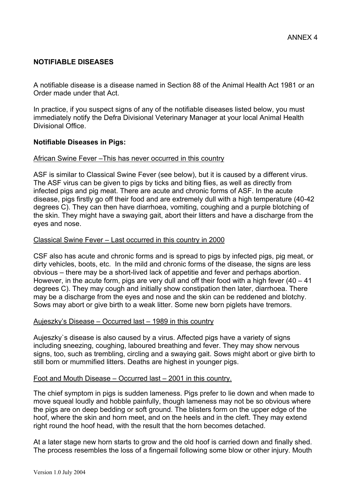## **NOTIFIABLE DISEASES**

A notifiable disease is a disease named in Section 88 of the Animal Health Act 1981 or an Order made under that Act.

In practice, if you suspect signs of any of the notifiable diseases listed below, you must immediately notify the Defra Divisional Veterinary Manager at your local Animal Health Divisional Office.

## **Notifiable Diseases in Pigs:**

### African Swine Fever –This has never occurred in this country

ASF is similar to Classical Swine Fever (see below), but it is caused by a different virus. The ASF virus can be given to pigs by ticks and biting flies, as well as directly from infected pigs and pig meat. There are acute and chronic forms of ASF. In the acute disease, pigs firstly go off their food and are extremely dull with a high temperature (40-42 degrees C). They can then have diarrhoea, vomiting, coughing and a purple blotching of the skin. They might have a swaying gait, abort their litters and have a discharge from the eyes and nose.

## Classical Swine Fever – Last occurred in this country in 2000

CSF also has acute and chronic forms and is spread to pigs by infected pigs, pig meat, or dirty vehicles, boots, etc. In the mild and chronic forms of the disease, the signs are less obvious – there may be a short-lived lack of appetitie and fever and perhaps abortion. However, in the acute form, pigs are very dull and off their food with a high fever  $(40 - 41)$ degrees C). They may cough and initially show constipation then later, diarrhoea. There may be a discharge from the eyes and nose and the skin can be reddened and blotchy. Sows may abort or give birth to a weak litter. Some new born piglets have tremors.

### Aujeszky's Disease – Occurred last – 1989 in this country

Aujeszky`s disease is also caused by a virus. Affected pigs have a variety of signs including sneezing, coughing, laboured breathing and fever. They may show nervous signs, too, such as trembling, circling and a swaying gait. Sows might abort or give birth to still born or mummified litters. Deaths are highest in younger pigs.

### Foot and Mouth Disease – Occurred last – 2001 in this country.

The chief symptom in pigs is sudden lameness. Pigs prefer to lie down and when made to move squeal loudly and hobble painfully, though lameness may not be so obvious where the pigs are on deep bedding or soft ground. The blisters form on the upper edge of the hoof, where the skin and horn meet, and on the heels and in the cleft. They may extend right round the hoof head, with the result that the horn becomes detached.

At a later stage new horn starts to grow and the old hoof is carried down and finally shed. The process resembles the loss of a fingernail following some blow or other injury. Mouth